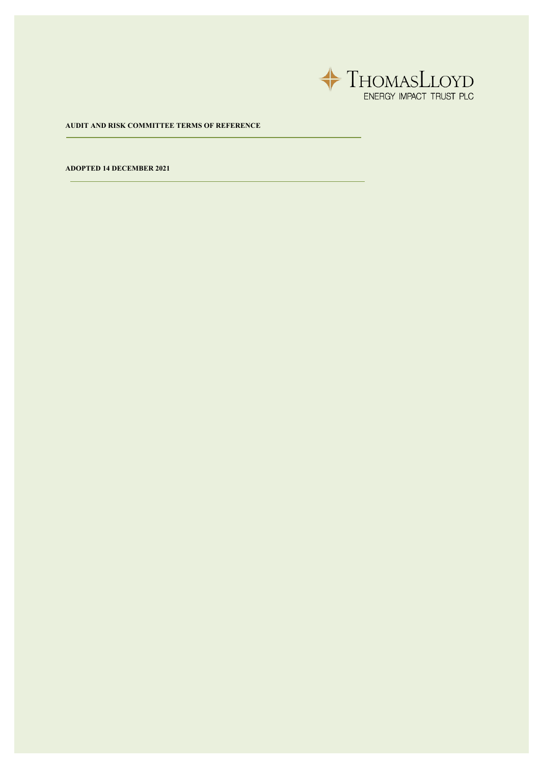

**AUDIT AND RISK COMMITTEE TERMS OF REFERENCE**

**ADOPTED 14 DECEMBER 2021**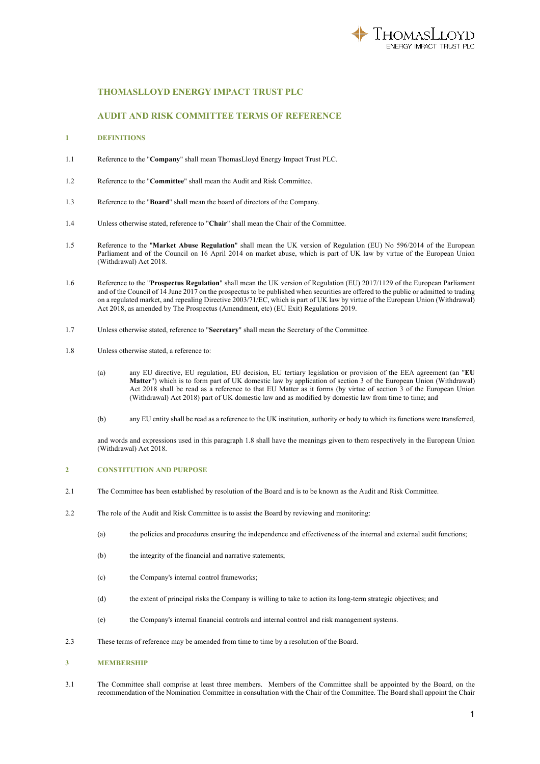

# **THOMASLLOYD ENERGY IMPACT TRUST PLC**

# **AUDIT AND RISK COMMITTEE TERMS OF REFERENCE**

### **1 DEFINITIONS**

- 1.1 Reference to the "**Company**" shall mean ThomasLloyd Energy Impact Trust PLC.
- 1.2 Reference to the "**Committee**" shall mean the Audit and Risk Committee.
- 1.3 Reference to the "**Board**" shall mean the board of directors of the Company.
- 1.4 Unless otherwise stated, reference to "**Chair**" shall mean the Chair of the Committee.
- 1.5 Reference to the "**Market Abuse Regulation**" shall mean the UK version of Regulation (EU) No 596/2014 of the European Parliament and of the Council on 16 April 2014 on market abuse, which is part of UK law by virtue of the European Union (Withdrawal) Act 2018.
- 1.6 Reference to the "**Prospectus Regulation**" shall mean the UK version of Regulation (EU) 2017/1129 of the European Parliament and of the Council of 14 June 2017 on the prospectus to be published when securities are offered to the public or admitted to trading on a regulated market, and repealing Directive 2003/71/EC, which is part of UK law by virtue of the European Union (Withdrawal) Act 2018, as amended by The Prospectus (Amendment, etc) (EU Exit) Regulations 2019.
- 1.7 Unless otherwise stated, reference to "**Secretary**" shall mean the Secretary of the Committee.
- 1.8 Unless otherwise stated, a reference to:
	- (a) any EU directive, EU regulation, EU decision, EU tertiary legislation or provision of the EEA agreement (an "**EU Matter**") which is to form part of UK domestic law by application of section 3 of the European Union (Withdrawal) Act 2018 shall be read as a reference to that EU Matter as it forms (by virtue of section 3 of the European Union (Withdrawal) Act 2018) part of UK domestic law and as modified by domestic law from time to time; and
	- (b) any EU entity shall be read as a reference to the UK institution, authority or body to which its functions were transferred,

and words and expressions used in this paragraph 1.8 shall have the meanings given to them respectively in the European Union (Withdrawal) Act 2018.

#### **2 CONSTITUTION AND PURPOSE**

- 2.1 The Committee has been established by resolution of the Board and is to be known as the Audit and Risk Committee.
- 2.2 The role of the Audit and Risk Committee is to assist the Board by reviewing and monitoring:
	- (a) the policies and procedures ensuring the independence and effectiveness of the internal and external audit functions;
	- (b) the integrity of the financial and narrative statements;
	- (c) the Company's internal control frameworks;
	- (d) the extent of principal risks the Company is willing to take to action its long-term strategic objectives; and
	- (e) the Company's internal financial controls and internal control and risk management systems.
- 2.3 These terms of reference may be amended from time to time by a resolution of the Board.

### **3 MEMBERSHIP**

3.1 The Committee shall comprise at least three members. Members of the Committee shall be appointed by the Board, on the recommendation of the Nomination Committee in consultation with the Chair of the Committee. The Board shall appoint the Chair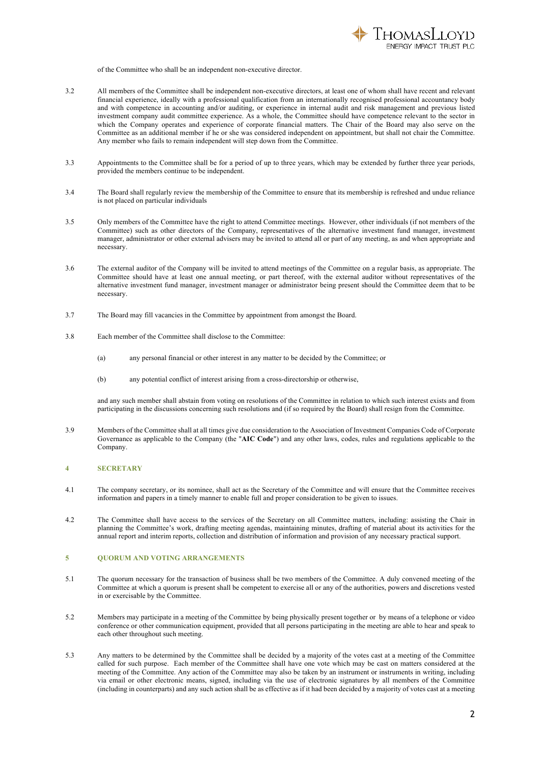

of the Committee who shall be an independent non-executive director.

- 3.2 All members of the Committee shall be independent non-executive directors, at least one of whom shall have recent and relevant financial experience, ideally with a professional qualification from an internationally recognised professional accountancy body and with competence in accounting and/or auditing, or experience in internal audit and risk management and previous listed investment company audit committee experience. As a whole, the Committee should have competence relevant to the sector in which the Company operates and experience of corporate financial matters. The Chair of the Board may also serve on the Committee as an additional member if he or she was considered independent on appointment, but shall not chair the Committee. Any member who fails to remain independent will step down from the Committee.
- 3.3 Appointments to the Committee shall be for a period of up to three years, which may be extended by further three year periods, provided the members continue to be independent.
- 3.4 The Board shall regularly review the membership of the Committee to ensure that its membership is refreshed and undue reliance is not placed on particular individuals
- 3.5 Only members of the Committee have the right to attend Committee meetings. However, other individuals (if not members of the Committee) such as other directors of the Company, representatives of the alternative investment fund manager, investment manager, administrator or other external advisers may be invited to attend all or part of any meeting, as and when appropriate and necessary.
- 3.6 The external auditor of the Company will be invited to attend meetings of the Committee on a regular basis, as appropriate. The Committee should have at least one annual meeting, or part thereof, with the external auditor without representatives of the alternative investment fund manager, investment manager or administrator being present should the Committee deem that to be necessary.
- 3.7 The Board may fill vacancies in the Committee by appointment from amongst the Board.
- 3.8 Each member of the Committee shall disclose to the Committee:
	- (a) any personal financial or other interest in any matter to be decided by the Committee; or
	- (b) any potential conflict of interest arising from a cross-directorship or otherwise,

and any such member shall abstain from voting on resolutions of the Committee in relation to which such interest exists and from participating in the discussions concerning such resolutions and (if so required by the Board) shall resign from the Committee.

3.9 Members of the Committee shall at all times give due consideration to the Association of Investment Companies Code of Corporate Governance as applicable to the Company (the "**AIC Code**") and any other laws, codes, rules and regulations applicable to the Company.

#### **4 SECRETARY**

- 4.1 The company secretary, or its nominee, shall act as the Secretary of the Committee and will ensure that the Committee receives information and papers in a timely manner to enable full and proper consideration to be given to issues.
- 4.2 The Committee shall have access to the services of the Secretary on all Committee matters, including: assisting the Chair in planning the Committee's work, drafting meeting agendas, maintaining minutes, drafting of material about its activities for the annual report and interim reports, collection and distribution of information and provision of any necessary practical support.

#### **5 QUORUM AND VOTING ARRANGEMENTS**

- 5.1 The quorum necessary for the transaction of business shall be two members of the Committee. A duly convened meeting of the Committee at which a quorum is present shall be competent to exercise all or any of the authorities, powers and discretions vested in or exercisable by the Committee.
- 5.2 Members may participate in a meeting of the Committee by being physically present together or by means of a telephone or video conference or other communication equipment, provided that all persons participating in the meeting are able to hear and speak to each other throughout such meeting.
- 5.3 Any matters to be determined by the Committee shall be decided by a majority of the votes cast at a meeting of the Committee called for such purpose. Each member of the Committee shall have one vote which may be cast on matters considered at the meeting of the Committee. Any action of the Committee may also be taken by an instrument or instruments in writing, including via email or other electronic means, signed, including via the use of electronic signatures by all members of the Committee (including in counterparts) and any such action shall be as effective as if it had been decided by a majority of votes cast at a meeting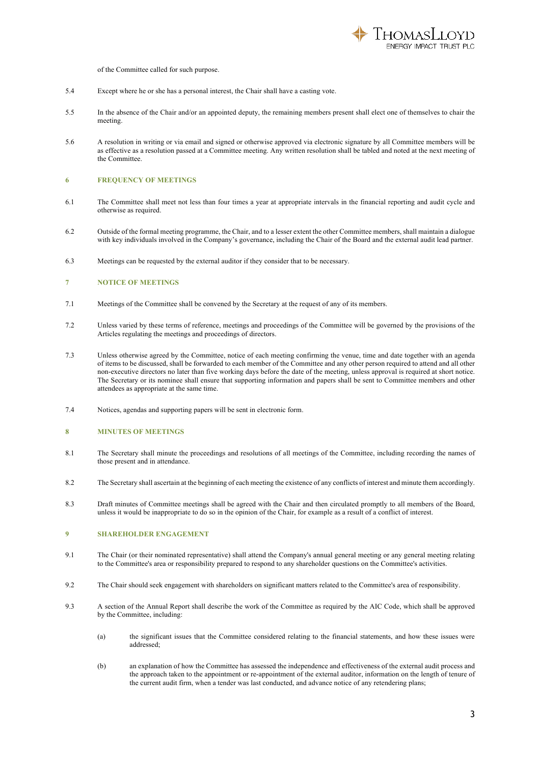

of the Committee called for such purpose.

- 5.4 Except where he or she has a personal interest, the Chair shall have a casting vote.
- 5.5 In the absence of the Chair and/or an appointed deputy, the remaining members present shall elect one of themselves to chair the meeting.
- 5.6 A resolution in writing or via email and signed or otherwise approved via electronic signature by all Committee members will be as effective as a resolution passed at a Committee meeting. Any written resolution shall be tabled and noted at the next meeting of the Committee.

#### **6 FREQUENCY OF MEETINGS**

- 6.1 The Committee shall meet not less than four times a year at appropriate intervals in the financial reporting and audit cycle and otherwise as required.
- 6.2 Outside of the formal meeting programme, the Chair, and to a lesser extent the other Committee members, shall maintain a dialogue with key individuals involved in the Company's governance, including the Chair of the Board and the external audit lead partner.
- 6.3 Meetings can be requested by the external auditor if they consider that to be necessary.

### **7 NOTICE OF MEETINGS**

- 7.1 Meetings of the Committee shall be convened by the Secretary at the request of any of its members.
- 7.2 Unless varied by these terms of reference, meetings and proceedings of the Committee will be governed by the provisions of the Articles regulating the meetings and proceedings of directors.
- 7.3 Unless otherwise agreed by the Committee, notice of each meeting confirming the venue, time and date together with an agenda of items to be discussed, shall be forwarded to each member of the Committee and any other person required to attend and all other non-executive directors no later than five working days before the date of the meeting, unless approval is required at short notice. The Secretary or its nominee shall ensure that supporting information and papers shall be sent to Committee members and other attendees as appropriate at the same time.
- 7.4 Notices, agendas and supporting papers will be sent in electronic form.

### **8 MINUTES OF MEETINGS**

- 8.1 The Secretary shall minute the proceedings and resolutions of all meetings of the Committee, including recording the names of those present and in attendance.
- 8.2 The Secretary shall ascertain at the beginning of each meeting the existence of any conflicts of interest and minute them accordingly.
- 8.3 Draft minutes of Committee meetings shall be agreed with the Chair and then circulated promptly to all members of the Board, unless it would be inappropriate to do so in the opinion of the Chair, for example as a result of a conflict of interest.

## **9 SHAREHOLDER ENGAGEMENT**

- 9.1 The Chair (or their nominated representative) shall attend the Company's annual general meeting or any general meeting relating to the Committee's area or responsibility prepared to respond to any shareholder questions on the Committee's activities.
- 9.2 The Chair should seek engagement with shareholders on significant matters related to the Committee's area of responsibility.
- 9.3 A section of the Annual Report shall describe the work of the Committee as required by the AIC Code, which shall be approved by the Committee, including:
	- (a) the significant issues that the Committee considered relating to the financial statements, and how these issues were addressed;
	- (b) an explanation of how the Committee has assessed the independence and effectiveness of the external audit process and the approach taken to the appointment or re-appointment of the external auditor, information on the length of tenure of the current audit firm, when a tender was last conducted, and advance notice of any retendering plans;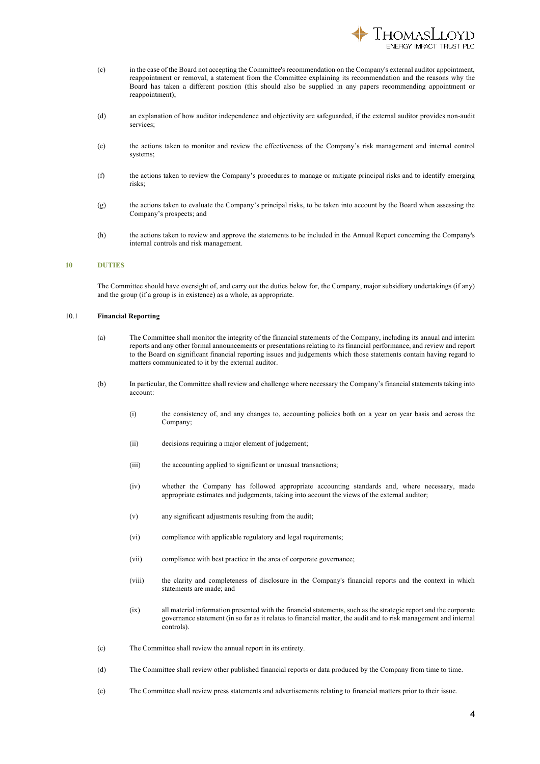

- (c) in the case of the Board not accepting the Committee's recommendation on the Company's external auditor appointment, reappointment or removal, a statement from the Committee explaining its recommendation and the reasons why the Board has taken a different position (this should also be supplied in any papers recommending appointment or reappointment);
- (d) an explanation of how auditor independence and objectivity are safeguarded, if the external auditor provides non-audit services;
- (e) the actions taken to monitor and review the effectiveness of the Company's risk management and internal control systems;
- (f) the actions taken to review the Company's procedures to manage or mitigate principal risks and to identify emerging risks;
- (g) the actions taken to evaluate the Company's principal risks, to be taken into account by the Board when assessing the Company's prospects; and
- (h) the actions taken to review and approve the statements to be included in the Annual Report concerning the Company's internal controls and risk management.

# **10 DUTIES**

The Committee should have oversight of, and carry out the duties below for, the Company, major subsidiary undertakings (if any) and the group (if a group is in existence) as a whole, as appropriate.

# 10.1 **Financial Reporting**

- (a) The Committee shall monitor the integrity of the financial statements of the Company, including its annual and interim reports and any other formal announcements or presentations relating to its financial performance, and review and report to the Board on significant financial reporting issues and judgements which those statements contain having regard to matters communicated to it by the external auditor.
- (b) In particular, the Committee shall review and challenge where necessary the Company's financial statements taking into account:
	- (i) the consistency of, and any changes to, accounting policies both on a year on year basis and across the Company;
	- (ii) decisions requiring a major element of judgement;
	- (iii) the accounting applied to significant or unusual transactions;
	- (iv) whether the Company has followed appropriate accounting standards and, where necessary, made appropriate estimates and judgements, taking into account the views of the external auditor;
	- (v) any significant adjustments resulting from the audit;
	- (vi) compliance with applicable regulatory and legal requirements;
	- (vii) compliance with best practice in the area of corporate governance;
	- (viii) the clarity and completeness of disclosure in the Company's financial reports and the context in which statements are made; and
	- (ix) all material information presented with the financial statements, such as the strategic report and the corporate governance statement (in so far as it relates to financial matter, the audit and to risk management and internal controls).
- (c) The Committee shall review the annual report in its entirety.
- (d) The Committee shall review other published financial reports or data produced by the Company from time to time.
- (e) The Committee shall review press statements and advertisements relating to financial matters prior to their issue.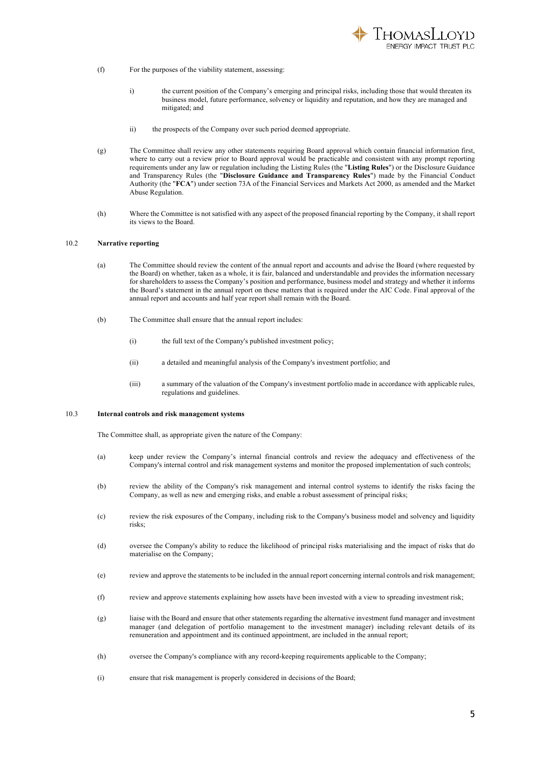

- (f) For the purposes of the viability statement, assessing:
	- i) the current position of the Company's emerging and principal risks, including those that would threaten its business model, future performance, solvency or liquidity and reputation, and how they are managed and mitigated; and
	- ii) the prospects of the Company over such period deemed appropriate.
- (g) The Committee shall review any other statements requiring Board approval which contain financial information first, where to carry out a review prior to Board approval would be practicable and consistent with any prompt reporting requirements under any law or regulation including the Listing Rules (the "**Listing Rules**") or the Disclosure Guidance and Transparency Rules (the "**Disclosure Guidance and Transparency Rules**") made by the Financial Conduct Authority (the "**FCA**") under section 73A of the Financial Services and Markets Act 2000, as amended and the Market Abuse Regulation.
- (h) Where the Committee is not satisfied with any aspect of the proposed financial reporting by the Company, it shall report its views to the Board.

# 10.2 **Narrative reporting**

- (a) The Committee should review the content of the annual report and accounts and advise the Board (where requested by the Board) on whether, taken as a whole, it is fair, balanced and understandable and provides the information necessary for shareholders to assess the Company's position and performance, business model and strategy and whether it informs the Board's statement in the annual report on these matters that is required under the AIC Code. Final approval of the annual report and accounts and half year report shall remain with the Board.
- (b) The Committee shall ensure that the annual report includes:
	- (i) the full text of the Company's published investment policy;
	- (ii) a detailed and meaningful analysis of the Company's investment portfolio; and
	- (iii) a summary of the valuation of the Company's investment portfolio made in accordance with applicable rules, regulations and guidelines.

## 10.3 **Internal controls and risk management systems**

The Committee shall, as appropriate given the nature of the Company:

- (a) keep under review the Company's internal financial controls and review the adequacy and effectiveness of the Company's internal control and risk management systems and monitor the proposed implementation of such controls;
- (b) review the ability of the Company's risk management and internal control systems to identify the risks facing the Company, as well as new and emerging risks, and enable a robust assessment of principal risks;
- (c) review the risk exposures of the Company, including risk to the Company's business model and solvency and liquidity risks;
- (d) oversee the Company's ability to reduce the likelihood of principal risks materialising and the impact of risks that do materialise on the Company;
- (e) review and approve the statements to be included in the annual report concerning internal controls and risk management;
- (f) review and approve statements explaining how assets have been invested with a view to spreading investment risk;
- (g) liaise with the Board and ensure that other statements regarding the alternative investment fund manager and investment manager (and delegation of portfolio management to the investment manager) including relevant details of its remuneration and appointment and its continued appointment, are included in the annual report;
- (h) oversee the Company's compliance with any record-keeping requirements applicable to the Company;
- (i) ensure that risk management is properly considered in decisions of the Board;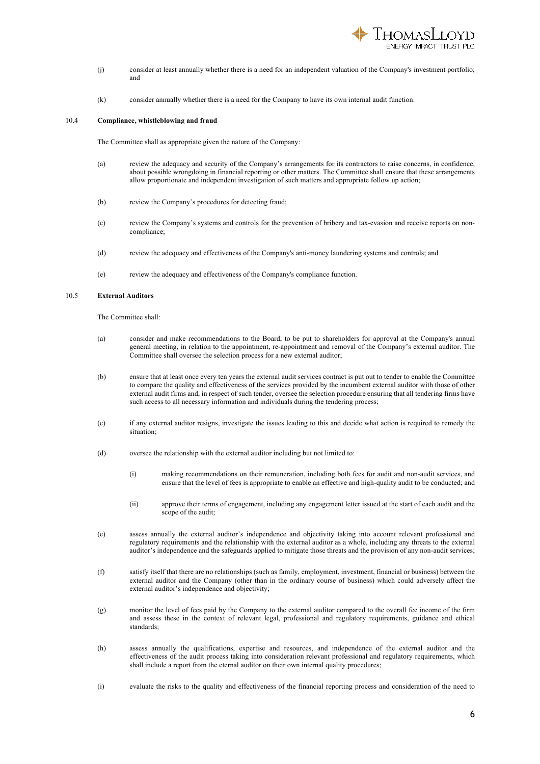

- (j) consider at least annually whether there is a need for an independent valuation of the Company's investment portfolio; and
- (k) consider annually whether there is a need for the Company to have its own internal audit function.

#### 10.4 **Compliance, whistleblowing and fraud**

The Committee shall as appropriate given the nature of the Company:

- (a) review the adequacy and security of the Company's arrangements for its contractors to raise concerns, in confidence, about possible wrongdoing in financial reporting or other matters. The Committee shall ensure that these arrangements allow proportionate and independent investigation of such matters and appropriate follow up action;
- (b) review the Company's procedures for detecting fraud;
- (c) review the Company's systems and controls for the prevention of bribery and tax-evasion and receive reports on noncompliance;
- (d) review the adequacy and effectiveness of the Company's anti-money laundering systems and controls; and
- (e) review the adequacy and effectiveness of the Company's compliance function.

### 10.5 **External Auditors**

The Committee shall:

- (a) consider and make recommendations to the Board, to be put to shareholders for approval at the Company's annual general meeting, in relation to the appointment, re-appointment and removal of the Company's external auditor. The Committee shall oversee the selection process for a new external auditor;
- (b) ensure that at least once every ten years the external audit services contract is put out to tender to enable the Committee to compare the quality and effectiveness of the services provided by the incumbent external auditor with those of other external audit firms and, in respect of such tender, oversee the selection procedure ensuring that all tendering firms have such access to all necessary information and individuals during the tendering process;
- (c) if any external auditor resigns, investigate the issues leading to this and decide what action is required to remedy the situation;
- (d) oversee the relationship with the external auditor including but not limited to:
	- (i) making recommendations on their remuneration, including both fees for audit and non-audit services, and ensure that the level of fees is appropriate to enable an effective and high-quality audit to be conducted; and
	- (ii) approve their terms of engagement, including any engagement letter issued at the start of each audit and the scope of the audit;
- (e) assess annually the external auditor's independence and objectivity taking into account relevant professional and regulatory requirements and the relationship with the external auditor as a whole, including any threats to the external auditor's independence and the safeguards applied to mitigate those threats and the provision of any non-audit services;
- (f) satisfy itself that there are no relationships (such as family, employment, investment, financial or business) between the external auditor and the Company (other than in the ordinary course of business) which could adversely affect the external auditor's independence and objectivity;
- (g) monitor the level of fees paid by the Company to the external auditor compared to the overall fee income of the firm and assess these in the context of relevant legal, professional and regulatory requirements, guidance and ethical standards;
- (h) assess annually the qualifications, expertise and resources, and independence of the external auditor and the effectiveness of the audit process taking into consideration relevant professional and regulatory requirements, which shall include a report from the eternal auditor on their own internal quality procedures;
- (i) evaluate the risks to the quality and effectiveness of the financial reporting process and consideration of the need to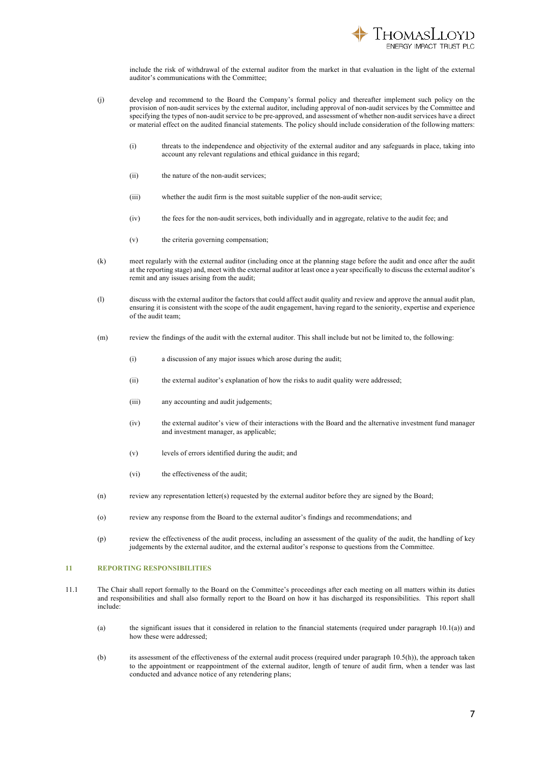

include the risk of withdrawal of the external auditor from the market in that evaluation in the light of the external auditor's communications with the Committee;

- (j) develop and recommend to the Board the Company's formal policy and thereafter implement such policy on the provision of non-audit services by the external auditor, including approval of non-audit services by the Committee and specifying the types of non-audit service to be pre-approved, and assessment of whether non-audit services have a direct or material effect on the audited financial statements. The policy should include consideration of the following matters:
	- (i) threats to the independence and objectivity of the external auditor and any safeguards in place, taking into account any relevant regulations and ethical guidance in this regard;
	- (ii) the nature of the non-audit services;
	- (iii) whether the audit firm is the most suitable supplier of the non-audit service;
	- (iv) the fees for the non-audit services, both individually and in aggregate, relative to the audit fee; and
	- (v) the criteria governing compensation;
- (k) meet regularly with the external auditor (including once at the planning stage before the audit and once after the audit at the reporting stage) and, meet with the external auditor at least once a year specifically to discuss the external auditor's remit and any issues arising from the audit;
- (l) discuss with the external auditor the factors that could affect audit quality and review and approve the annual audit plan, ensuring it is consistent with the scope of the audit engagement, having regard to the seniority, expertise and experience of the audit team;
- (m) review the findings of the audit with the external auditor. This shall include but not be limited to, the following:
	- (i) a discussion of any major issues which arose during the audit;
	- (ii) the external auditor's explanation of how the risks to audit quality were addressed;
	- (iii) any accounting and audit judgements;
	- (iv) the external auditor's view of their interactions with the Board and the alternative investment fund manager and investment manager, as applicable;
	- (v) levels of errors identified during the audit; and
	- (vi) the effectiveness of the audit;
- (n) review any representation letter(s) requested by the external auditor before they are signed by the Board;
- (o) review any response from the Board to the external auditor's findings and recommendations; and
- (p) review the effectiveness of the audit process, including an assessment of the quality of the audit, the handling of key judgements by the external auditor, and the external auditor's response to questions from the Committee.

#### **11 REPORTING RESPONSIBILITIES**

- 11.1 The Chair shall report formally to the Board on the Committee's proceedings after each meeting on all matters within its duties and responsibilities and shall also formally report to the Board on how it has discharged its responsibilities. This report shall include:
	- (a) the significant issues that it considered in relation to the financial statements (required under paragraph 10.1(a)) and how these were addressed;
	- (b) its assessment of the effectiveness of the external audit process (required under paragraph 10.5(h)), the approach taken to the appointment or reappointment of the external auditor, length of tenure of audit firm, when a tender was last conducted and advance notice of any retendering plans;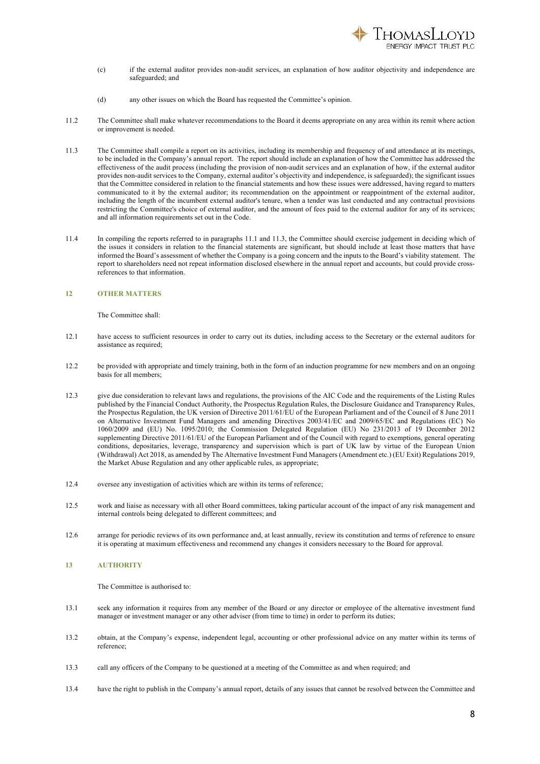

- (c) if the external auditor provides non-audit services, an explanation of how auditor objectivity and independence are safeguarded; and
- (d) any other issues on which the Board has requested the Committee's opinion.
- 11.2 The Committee shall make whatever recommendations to the Board it deems appropriate on any area within its remit where action or improvement is needed.
- 11.3 The Committee shall compile a report on its activities, including its membership and frequency of and attendance at its meetings, to be included in the Company's annual report. The report should include an explanation of how the Committee has addressed the effectiveness of the audit process (including the provision of non-audit services and an explanation of how, if the external auditor provides non-audit services to the Company, external auditor's objectivity and independence, is safeguarded); the significant issues that the Committee considered in relation to the financial statements and how these issues were addressed, having regard to matters communicated to it by the external auditor; its recommendation on the appointment or reappointment of the external auditor, including the length of the incumbent external auditor's tenure, when a tender was last conducted and any contractual provisions restricting the Committee's choice of external auditor, and the amount of fees paid to the external auditor for any of its services; and all information requirements set out in the Code.
- 11.4 In compiling the reports referred to in paragraphs 11.1 and 11.3, the Committee should exercise judgement in deciding which of the issues it considers in relation to the financial statements are significant, but should include at least those matters that have informed the Board's assessment of whether the Company is a going concern and the inputs to the Board's viability statement. The report to shareholders need not repeat information disclosed elsewhere in the annual report and accounts, but could provide crossreferences to that information.

# **12 OTHER MATTERS**

The Committee shall:

- 12.1 have access to sufficient resources in order to carry out its duties, including access to the Secretary or the external auditors for assistance as required:
- 12.2 be provided with appropriate and timely training, both in the form of an induction programme for new members and on an ongoing basis for all members;
- 12.3 give due consideration to relevant laws and regulations, the provisions of the AIC Code and the requirements of the Listing Rules published by the Financial Conduct Authority, the Prospectus Regulation Rules, the Disclosure Guidance and Transparency Rules, the Prospectus Regulation, the UK version of Directive 2011/61/EU of the European Parliament and of the Council of 8 June 2011 on Alternative Investment Fund Managers and amending Directives 2003/41/EC and 2009/65/EC and Regulations (EC) No 1060/2009 and (EU) No. 1095/2010; the Commission Delegated Regulation (EU) No 231/2013 of 19 December 2012 supplementing Directive 2011/61/EU of the European Parliament and of the Council with regard to exemptions, general operating conditions, depositaries, leverage, transparency and supervision which is part of UK law by virtue of the European Union (Withdrawal) Act 2018, as amended by The Alternative Investment Fund Managers (Amendment etc.) (EU Exit) Regulations 2019, the Market Abuse Regulation and any other applicable rules, as appropriate;
- 12.4 oversee any investigation of activities which are within its terms of reference;
- 12.5 work and liaise as necessary with all other Board committees, taking particular account of the impact of any risk management and internal controls being delegated to different committees; and
- 12.6 arrange for periodic reviews of its own performance and, at least annually, review its constitution and terms of reference to ensure it is operating at maximum effectiveness and recommend any changes it considers necessary to the Board for approval.

#### **13 AUTHORITY**

The Committee is authorised to:

- 13.1 seek any information it requires from any member of the Board or any director or employee of the alternative investment fund manager or investment manager or any other adviser (from time to time) in order to perform its duties;
- 13.2 obtain, at the Company's expense, independent legal, accounting or other professional advice on any matter within its terms of reference;
- 13.3 call any officers of the Company to be questioned at a meeting of the Committee as and when required; and
- 13.4 have the right to publish in the Company's annual report, details of any issues that cannot be resolved between the Committee and